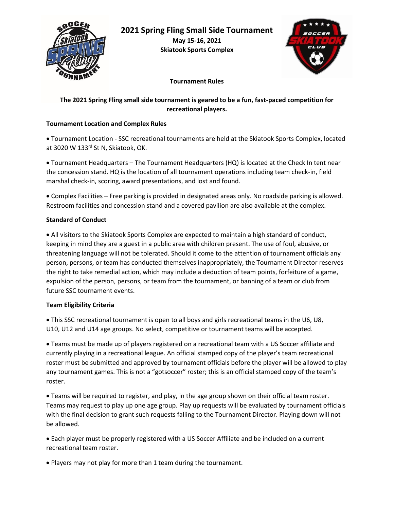



**Tournament Rules**

# **The 2021 Spring Fling small side tournament is geared to be a fun, fast-paced competition for recreational players.**

## **Tournament Location and Complex Rules**

• Tournament Location - SSC recreational tournaments are held at the Skiatook Sports Complex, located at 3020 W 133rd St N, Skiatook, OK.

• Tournament Headquarters – The Tournament Headquarters (HQ) is located at the Check In tent near the concession stand. HQ is the location of all tournament operations including team check-in, field marshal check-in, scoring, award presentations, and lost and found.

• Complex Facilities – Free parking is provided in designated areas only. No roadside parking is allowed. Restroom facilities and concession stand and a covered pavilion are also available at the complex.

## **Standard of Conduct**

• All visitors to the Skiatook Sports Complex are expected to maintain a high standard of conduct, keeping in mind they are a guest in a public area with children present. The use of foul, abusive, or threatening language will not be tolerated. Should it come to the attention of tournament officials any person, persons, or team has conducted themselves inappropriately, the Tournament Director reserves the right to take remedial action, which may include a deduction of team points, forfeiture of a game, expulsion of the person, persons, or team from the tournament, or banning of a team or club from future SSC tournament events.

## **Team Eligibility Criteria**

• This SSC recreational tournament is open to all boys and girls recreational teams in the U6, U8, U10, U12 and U14 age groups. No select, competitive or tournament teams will be accepted.

• Teams must be made up of players registered on a recreational team with a US Soccer affiliate and currently playing in a recreational league. An official stamped copy of the player's team recreational roster must be submitted and approved by tournament officials before the player will be allowed to play any tournament games. This is not a "gotsoccer" roster; this is an official stamped copy of the team's roster.

• Teams will be required to register, and play, in the age group shown on their official team roster. Teams may request to play up one age group. Play up requests will be evaluated by tournament officials with the final decision to grant such requests falling to the Tournament Director. Playing down will not be allowed.

• Each player must be properly registered with a US Soccer Affiliate and be included on a current recreational team roster.

• Players may not play for more than 1 team during the tournament.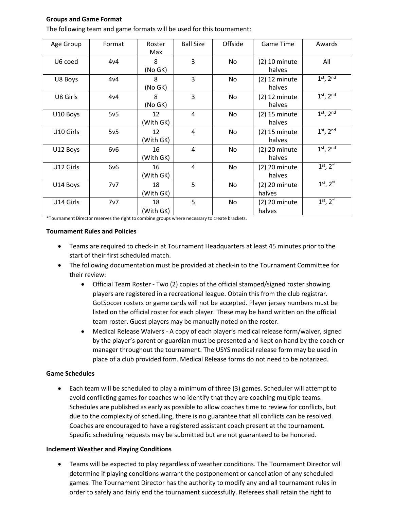#### **Groups and Game Format**

| Age Group | Format | Roster<br>Max   | <b>Ball Size</b> | Offside | <b>Game Time</b>          | Awards              |
|-----------|--------|-----------------|------------------|---------|---------------------------|---------------------|
| U6 coed   | 4v4    | 8<br>(No GK)    | 3                | No.     | $(2)$ 10 minute<br>halves | All                 |
| U8 Boys   | 4v4    | 8<br>(No GK)    | 3                | No.     | $(2)$ 12 minute<br>halves | $1st$ , $2nd$       |
| U8 Girls  | 4v4    | 8<br>(No GK)    | $\overline{3}$   | No      | $(2)$ 12 minute<br>halves | $1st$ , $2nd$       |
| U10 Boys  | 5v5    | 12<br>(With GK) | 4                | No      | $(2)$ 15 minute<br>halves | $1st$ , $2nd$       |
| U10 Girls | 5v5    | 12<br>(With GK) | 4                | No      | $(2)$ 15 minute<br>halves | $1st$ , $2nd$       |
| U12 Boys  | 6v6    | 16<br>(With GK) | 4                | No      | $(2)$ 20 minute<br>halves | $1st$ , $2nd$       |
| U12 Girls | 6v6    | 16<br>(With GK) | 4                | No.     | $(2)$ 20 minute<br>halves | $1^{st}$ , $2^{nd}$ |
| U14 Boys  | 7v7    | 18<br>(With GK) | 5                | No      | $(2)$ 20 minute<br>halves | $1^{st}$ , $2^{nd}$ |
| U14 Girls | 7v7    | 18<br>(With GK) | 5                | No      | $(2)$ 20 minute<br>halves | $1^{st}$ , $2^{nd}$ |

The following team and game formats will be used for this tournament:

\*Tournament Director reserves the right to combine groups where necessary to create brackets.

#### **Tournament Rules and Policies**

- Teams are required to check-in at Tournament Headquarters at least 45 minutes prior to the start of their first scheduled match.
- The following documentation must be provided at check-in to the Tournament Committee for their review:
	- Official Team Roster Two (2) copies of the official stamped/signed roster showing players are registered in a recreational league. Obtain this from the club registrar. GotSoccer rosters or game cards will not be accepted. Player jersey numbers must be listed on the official roster for each player. These may be hand written on the official team roster. Guest players may be manually noted on the roster.
	- Medical Release Waivers A copy of each player's medical release form/waiver, signed by the player's parent or guardian must be presented and kept on hand by the coach or manager throughout the tournament. The USYS medical release form may be used in place of a club provided form. Medical Release forms do not need to be notarized.

#### **Game Schedules**

• Each team will be scheduled to play a minimum of three (3) games. Scheduler will attempt to avoid conflicting games for coaches who identify that they are coaching multiple teams. Schedules are published as early as possible to allow coaches time to review for conflicts, but due to the complexity of scheduling, there is no guarantee that all conflicts can be resolved. Coaches are encouraged to have a registered assistant coach present at the tournament. Specific scheduling requests may be submitted but are not guaranteed to be honored.

#### **Inclement Weather and Playing Conditions**

• Teams will be expected to play regardless of weather conditions. The Tournament Director will determine if playing conditions warrant the postponement or cancellation of any scheduled games. The Tournament Director has the authority to modify any and all tournament rules in order to safely and fairly end the tournament successfully. Referees shall retain the right to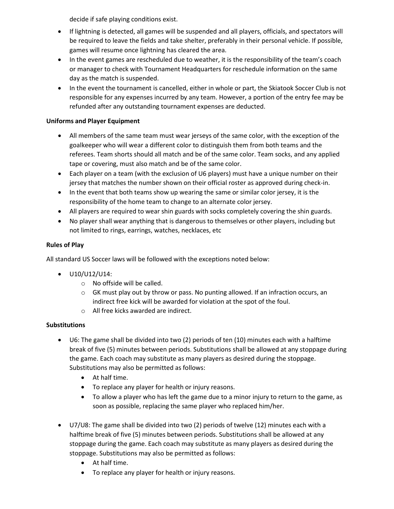decide if safe playing conditions exist.

- If lightning is detected, all games will be suspended and all players, officials, and spectators will be required to leave the fields and take shelter, preferably in their personal vehicle. If possible, games will resume once lightning has cleared the area.
- In the event games are rescheduled due to weather, it is the responsibility of the team's coach or manager to check with Tournament Headquarters for reschedule information on the same day as the match is suspended.
- In the event the tournament is cancelled, either in whole or part, the Skiatook Soccer Club is not responsible for any expenses incurred by any team. However, a portion of the entry fee may be refunded after any outstanding tournament expenses are deducted.

## **Uniforms and Player Equipment**

- All members of the same team must wear jerseys of the same color, with the exception of the goalkeeper who will wear a different color to distinguish them from both teams and the referees. Team shorts should all match and be of the same color. Team socks, and any applied tape or covering, must also match and be of the same color.
- Each player on a team (with the exclusion of U6 players) must have a unique number on their jersey that matches the number shown on their official roster as approved during check-in.
- In the event that both teams show up wearing the same or similar color jersey, it is the responsibility of the home team to change to an alternate color jersey.
- All players are required to wear shin guards with socks completely covering the shin guards.
- No player shall wear anything that is dangerous to themselves or other players, including but not limited to rings, earrings, watches, necklaces, etc

## **Rules of Play**

All standard US Soccer laws will be followed with the exceptions noted below:

- U10/U12/U14:
	- o No offside will be called.
	- $\circ$  GK must play out by throw or pass. No punting allowed. If an infraction occurs, an indirect free kick will be awarded for violation at the spot of the foul.
	- o All free kicks awarded are indirect.

## **Substitutions**

- U6: The game shall be divided into two (2) periods of ten (10) minutes each with a halftime break of five (5) minutes between periods. Substitutions shall be allowed at any stoppage during the game. Each coach may substitute as many players as desired during the stoppage. Substitutions may also be permitted as follows:
	- At half time.
	- To replace any player for health or injury reasons.
	- To allow a player who has left the game due to a minor injury to return to the game, as soon as possible, replacing the same player who replaced him/her.
- U7/U8: The game shall be divided into two (2) periods of twelve (12) minutes each with a halftime break of five (5) minutes between periods. Substitutions shall be allowed at any stoppage during the game. Each coach may substitute as many players as desired during the stoppage. Substitutions may also be permitted as follows:
	- At half time.
	- To replace any player for health or injury reasons.